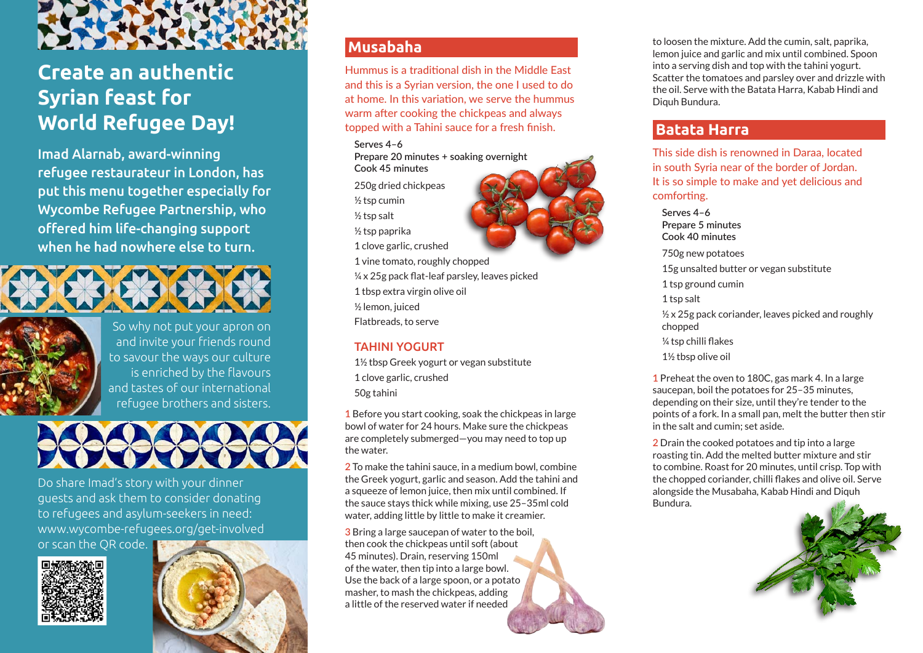

# **Create an authentic Syrian feast for World Refugee Day!**

Imad Alarnab, award-winning refugee restaurateur in London, has put this menu together especially for Wycombe Refugee Partnership, who offered him life-changing support when he had nowhere else to turn.





So why not put your apron on and invite your friends round to savour the ways our culture is enriched by the flavours and tastes of our international refugee brothers and sisters.



Do share Imad's story with your dinner guests and ask them to consider donating to refugees and asylum-seekers in need: www.wycombe-refugees.org/get-involved

or scan the QR code.





### **Musabaha**

Hummus is a traditional dish in the Middle East and this is a Syrian version, the one I used to do at home. In this variation, we serve the hummus warm after cooking the chickpeas and always topped with a Tahini sauce for a fresh finish.

**Serves 4–6 Prepare 20 minutes + soaking overnight Cook 45 minutes** 250g dried chickpeas ½ tsp cumin ½ tsp salt ½ tsp paprika 1 clove garlic, crushed 1 vine tomato, roughly chopped ¼ x 25g pack flat-leaf parsley, leaves picked 1 tbsp extra virgin olive oil

½ lemon, juiced

Flatbreads, to serve

#### TAHINI YOGURT

1½ tbsp Greek yogurt or vegan substitute 1 clove garlic, crushed 50g tahini

**1** Before you start cooking, soak the chickpeas in large bowl of water for 24 hours. Make sure the chickpeas are completely submerged—you may need to top up the water.

**2** To make the tahini sauce, in a medium bowl, combine the Greek yogurt, garlic and season. Add the tahini and a squeeze of lemon juice, then mix until combined. If the sauce stays thick while mixing, use 25–35ml cold water, adding little by little to make it creamier.

**3** Bring a large saucepan of water to the boil, then cook the chickpeas until soft (about 45 minutes). Drain, reserving 150ml of the water, then tip into a large bowl. Use the back of a large spoon, or a potato masher, to mash the chickpeas, adding a little of the reserved water if needed

to loosen the mixture. Add the cumin, salt, paprika, lemon juice and garlic and mix until combined. Spoon into a serving dish and top with the tahini yogurt. Scatter the tomatoes and parsley over and drizzle with the oil. Serve with the Batata Harra, Kabab Hindi and Diquh Bundura.

## **Batata Harra**

This side dish is renowned in Daraa, located in south Syria near of the border of Jordan. It is so simple to make and yet delicious and comforting.

#### **Serves 4–6**

**Prepare 5 minutes Cook 40 minutes** 750g new potatoes 15g unsalted butter or vegan substitute 1 tsp ground cumin 1 tsp salt  $\frac{1}{2}$  x 25g pack coriander, leaves picked and roughly chopped ¼ tsp chilli flakes 1½ tbsp olive oil

**1** Preheat the oven to 180C, gas mark 4. In a large saucepan, boil the potatoes for 25–35 minutes, depending on their size, until they're tender to the points of a fork. In a small pan, melt the butter then stir in the salt and cumin; set aside.

**2** Drain the cooked potatoes and tip into a large roasting tin. Add the melted butter mixture and stir to combine. Roast for 20 minutes, until crisp. Top with the chopped coriander, chilli flakes and olive oil. Serve alongside the Musabaha, Kabab Hindi and Diquh Bundura.